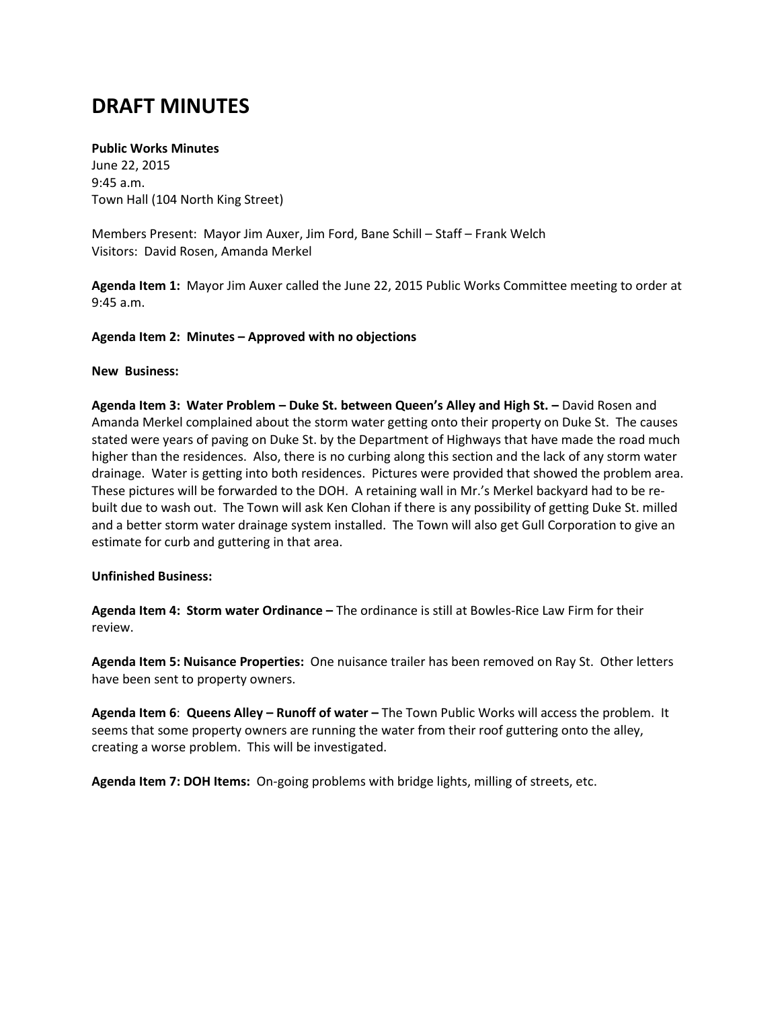# **DRAFT MINUTES**

## **Public Works Minutes**

June 22, 2015 9:45 a.m. Town Hall (104 North King Street)

Members Present: Mayor Jim Auxer, Jim Ford, Bane Schill – Staff – Frank Welch Visitors: David Rosen, Amanda Merkel

**Agenda Item 1:** Mayor Jim Auxer called the June 22, 2015 Public Works Committee meeting to order at 9:45 a.m.

### **Agenda Item 2: Minutes – Approved with no objections**

### **New Business:**

**Agenda Item 3: Water Problem – Duke St. between Queen's Alley and High St. –** David Rosen and Amanda Merkel complained about the storm water getting onto their property on Duke St. The causes stated were years of paving on Duke St. by the Department of Highways that have made the road much higher than the residences. Also, there is no curbing along this section and the lack of any storm water drainage. Water is getting into both residences. Pictures were provided that showed the problem area. These pictures will be forwarded to the DOH. A retaining wall in Mr.'s Merkel backyard had to be rebuilt due to wash out. The Town will ask Ken Clohan if there is any possibility of getting Duke St. milled and a better storm water drainage system installed. The Town will also get Gull Corporation to give an estimate for curb and guttering in that area.

#### **Unfinished Business:**

**Agenda Item 4: Storm water Ordinance –** The ordinance is still at Bowles-Rice Law Firm for their review.

**Agenda Item 5: Nuisance Properties:** One nuisance trailer has been removed on Ray St. Other letters have been sent to property owners.

**Agenda Item 6**: **Queens Alley – Runoff of water –** The Town Public Works will access the problem. It seems that some property owners are running the water from their roof guttering onto the alley, creating a worse problem. This will be investigated.

**Agenda Item 7: DOH Items:** On-going problems with bridge lights, milling of streets, etc.